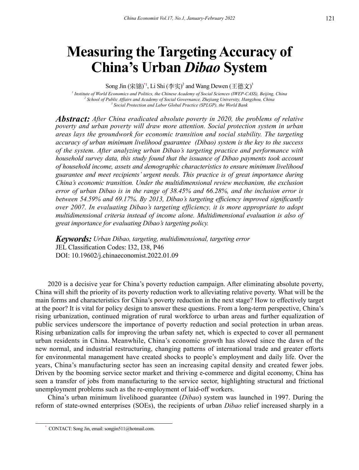# **Measuring the Targeting Accuracy of China's Urban** *Dibao* **System**

Song Jin (宋锦)<sup>\*1</sup>, Li Shi (李实)<sup>2</sup> and Wang Dewen (王德文)<sup>3</sup>

*1 Institute of World Economics and Politics, the Chinese Academy of Social Sciences (IWEP-CASS), Beijing, China* <sup>2</sup> School of Public Affairs and Academy of Social Governance, Zhejiang University, Hangzhou, China <sup>3</sup> Social Protection and Labor Global Practice (SPLGP) the World Bank  *Social Protection and Labor Global Practice (SPLGP), the World Bank*

*Abstract: After China eradicated absolute poverty in 2020, the problems of relative poverty and urban poverty will draw more attention. Social protection system in urban areas lays the groundwork for economic transition and social stability. The targeting accuracy of urban minimum livelihood guarantee (Dibao) system is the key to the success of the system. After analyzing urban Dibao's targeting practice and performance with household survey data, this study found that the issuance of Dibao payments took account of household income, assets and demographic characteristics to ensure minimum livelihood guarantee and meet recipients' urgent needs. This practice is of great importance during China's economic transition. Under the multidimensional review mechanism, the exclusion error of urban Dibao is in the range of 38.45% and 66.28%, and the inclusion error is between 54.59% and 69.17%. By 2013, Dibao's targeting efficiency improved significantly over 2007. In evaluating Dibao's targeting efficiency, it is more appropriate to adopt multidimensional criteria instead of income alone. Multidimensional evaluation is also of great importance for evaluating Dibao's targeting policy.*

*Keywords: Urban Dibao, targeting, multidimensional, targeting error* JEL Classification Codes: I32, I38, P46 DOI: 10.19602/j.chinaeconomist.2022.01.09

2020 is a decisive year for China's poverty reduction campaign. After eliminating absolute poverty, China will shift the priority of its poverty reduction work to alleviating relative poverty. What will be the main forms and characteristics for China's poverty reduction in the next stage? How to effectively target at the poor? It is vital for policy design to answer these questions. From a long-term perspective, China's rising urbanization, continued migration of rural workforce to urban areas and further equalization of public services underscore the importance of poverty reduction and social protection in urban areas. Rising urbanization calls for improving the urban safety net, which is expected to cover all permanent urban residents in China. Meanwhile, China's economic growth has slowed since the dawn of the new normal, and industrial restructuring, changing patterns of international trade and greater efforts for environmental management have created shocks to people's employment and daily life. Over the years, China's manufacturing sector has seen an increasing capital density and created fewer jobs. Driven by the booming service sector market and thriving e-commerce and digital economy, China has seen a transfer of jobs from manufacturing to the service sector, highlighting structural and frictional unemployment problems such as the re-employment of laid-off workers.

China's urban minimum livelihood guarantee (*Dibao*) system was launched in 1997. During the reform of state-owned enterprises (SOEs), the recipients of urban *Dibao* relief increased sharply in a

<sup>\*</sup> CONTACT: Song Jin, email: songjin511@hotmail.com.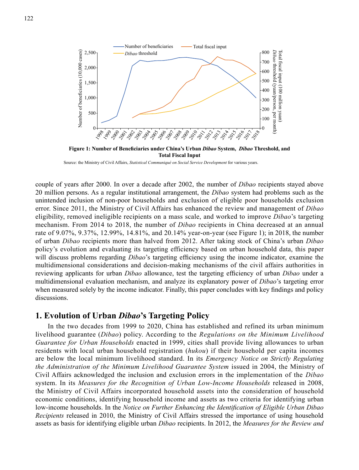

**Figure 1: Number of Beneficiaries under China's Urban** *Dibao* **System,** *Dibao* **Threshold, and Total Fiscal Input**

Source: the Ministry of Civil Affairs, *Statistical Communiqué on Social Service Development* for various years.

couple of years after 2000. In over a decade after 2002, the number of *Dibao* recipients stayed above 20 million persons. As a regular institutional arrangement, the *Dibao* system had problems such as the unintended inclusion of non-poor households and exclusion of eligible poor households exclusion error. Since 2011, the Ministry of Civil Affairs has enhanced the review and management of *Dibao* eligibility, removed ineligible recipients on a mass scale, and worked to improve *Dibao*'s targeting mechanism. From 2014 to 2018, the number of *Dibao* recipients in China decreased at an annual rate of 9.07%, 9.37%, 12.99%, 14.81%, and 20.14% year-on-year (see Figure 1); in 2018, the number of urban *Dibao* recipients more than halved from 2012. After taking stock of China's urban *Dibao* policy's evolution and evaluating its targeting efficiency based on urban household data, this paper will discuss problems regarding *Dibao*'s targeting efficiency using the income indicator, examine the multidimensional considerations and decision-making mechanisms of the civil affairs authorities in reviewing applicants for urban *Dibao* allowance, test the targeting efficiency of urban *Dibao* under a multidimensional evaluation mechanism, and analyze its explanatory power of *Dibao*'s targeting error when measured solely by the income indicator. Finally, this paper concludes with key findings and policy discussions.

# **1. Evolution of Urban** *Dibao***'s Targeting Policy**

In the two decades from 1999 to 2020, China has established and refined its urban minimum livelihood guarantee (*Dibao*) policy. According to the *Regulations on the Minimum Livelihood Guarantee for Urban Households* enacted in 1999, cities shall provide living allowances to urban residents with local urban household registration (*hukou*) if their household per capita incomes are below the local minimum livelihood standard. In its *Emergency Notice on Strictly Regulating the Administration of the Minimum Livelihood Guarantee System* issued in 2004, the Ministry of Civil Affairs acknowledged the inclusion and exclusion errors in the implementation of the *Dibao* system. In its *Measures for the Recognition of Urban Low-Income Households* released in 2008, the Ministry of Civil Affairs incorporated household assets into the consideration of household economic conditions, identifying household income and assets as two criteria for identifying urban low-income households. In the *Notice on Further Enhancing the Identification of Eligible Urban Dibao Recipients* released in 2010, the Ministry of Civil Affairs stressed the importance of using household assets as basis for identifying eligible urban *Dibao* recipients. In 2012, the *Measures for the Review and*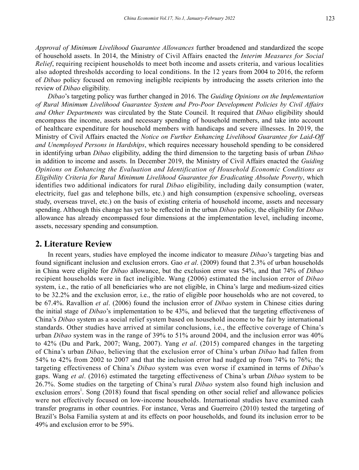*Approval of Minimum Livelihood Guarantee Allowances* further broadened and standardized the scope of household assets. In 2014, the Ministry of Civil Affairs enacted the *Interim Measures for Social Relief*, requiring recipient households to meet both income and assets criteria, and various localities also adopted thresholds according to local conditions. In the 12 years from 2004 to 2016, the reform of *Dibao* policy focused on removing ineligible recipients by introducing the assets criterion into the review of *Dibao* eligibility.

*Dibao*'s targeting policy was further changed in 2016. The *Guiding Opinions on the Implementation of Rural Minimum Livelihood Guarantee System and Pro-Poor Development Policies by Civil Affairs and Other Departments* was circulated by the State Council. It required that *Dibao* eligibility should encompass the income, assets and necessary spending of household members, and take into account of healthcare expenditure for household members with handicaps and severe illnesses. In 2019, the Ministry of Civil Affairs enacted the *Notice on Further Enhancing Livelihood Guarantee for Laid-Off and Unemployed Persons in Hardships*, which requires necessary household spending to be considered in identifying urban *Dibao* eligibility, adding the third dimension to the targeting basis of urban *Dibao* in addition to income and assets. In December 2019, the Ministry of Civil Affairs enacted the *Guiding Opinions on Enhancing the Evaluation and Identification of Household Economic Conditions as Eligibility Criteria for Rural Minimum Livelihood Guarantee for Eradicating Absolute Poverty*, which identifies two additional indicators for rural *Dibao* eligibility, including daily consumption (water, electricity, fuel gas and telephone bills, etc.) and high consumption (expensive schooling, overseas study, overseas travel, etc.) on the basis of existing criteria of household income, assets and necessary spending. Although this change has yet to be reflected in the urban *Dibao* policy, the eligibility for *Dibao* allowance has already encompassed four dimensions at the implementation level, including income, assets, necessary spending and consumption.

# **2. Literature Review**

In recent years, studies have employed the income indicator to measure *Dibao*'s targeting bias and found significant inclusion and exclusion errors. Gao *et al*. (2009) found that 2.3% of urban households in China were eligible for *Dibao* allowance, but the exclusion error was 54%, and that 74% of *Dibao* recipient households were in fact ineligible. Wang (2006) estimated the inclusion error of *Dibao* system, i.e., the ratio of all beneficiaries who are not eligible, in China's large and medium-sized cities to be 32.2% and the exclusion error, i.e., the ratio of eligible poor households who are not covered, to be 67.4%. Ravallion *et al*. (2006) found the inclusion error of *Dibao* system in Chinese cities during the initial stage of *Dibao*'s implementation to be 43%, and believed that the targeting effectiveness of China's *Dibao* system as a social relief system based on household income to be fair by international standards. Other studies have arrived at similar conclusions, i.e., the effective coverage of China's urban *Dibao* system was in the range of 39% to 51% around 2004, and the inclusion error was 40% to 42% (Du and Park, 2007; Wang, 2007). Yang *et al*. (2015) compared changes in the targeting of China's urban *Dibao*, believing that the exclusion error of China's urban *Dibao* had fallen from 54% to 42% from 2002 to 2007 and that the inclusion error had nudged up from 74% to 76%; the targeting effectiveness of China's *Dibao* system was even worse if examined in terms of *Dibao*'s gaps. Wang *et al*. (2016) estimated the targeting effectiveness of China's urban *Dibao* system to be 26.7%. Some studies on the targeting of China's rural *Dibao* system also found high inclusion and exclusion errors<sup>1</sup>. Song (2018) found that fiscal spending on other social relief and allowance policies were not effectively focused on low-income households. International studies have examined cash transfer programs in other countries. For instance, Veras and Guerreiro (2010) tested the targeting of Brazil's Bolsa Familia system at and its effects on poor households, and found its inclusion error to be 49% and exclusion error to be 59%.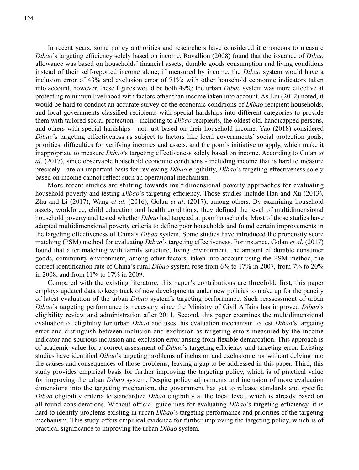In recent years, some policy authorities and researchers have considered it erroneous to measure *Dibao*'s targeting efficiency solely based on income. Ravallion (2008) found that the issuance of *Dibao* allowance was based on households' financial assets, durable goods consumption and living conditions instead of their self-reported income alone; if measured by income, the *Dibao* system would have a inclusion error of 43% and exclusion error of 71%; with other household economic indicators taken into account, however, these figures would be both 49%; the urban *Dibao* system was more effective at protecting minimum livelihood with factors other than income taken into account. As Liu (2012) noted, it would be hard to conduct an accurate survey of the economic conditions of *Dibao* recipient households, and local governments classified recipients with special hardships into different categories to provide them with tailored social protection - including to *Dibao* recipients, the oldest old, handicapped persons, and others with special hardships - not just based on their household income. Yao (2018) considered *Dibao*'s targeting effectiveness as subject to factors like local governments' social protection goals, priorities, difficulties for verifying incomes and assets, and the poor's initiative to apply, which make it inappropriate to measure *Dibao*'s targeting effectiveness solely based on income. According to Golan *et al*. (2017), since observable household economic conditions - including income that is hard to measure precisely - are an important basis for reviewing *Dibao* eligibility, *Dibao*'s targeting effectiveness solely based on income cannot reflect such an operational mechanism.

More recent studies are shifting towards multidimensional poverty approaches for evaluating household poverty and testing *Dibao*'s targeting efficiency. Those studies include Han and Xu (2013), Zhu and Li (2017), Wang *et al*. (2016), Golan *et al*. (2017), among others. By examining household assets, workforce, child education and health conditions, they defined the level of multidimensional household poverty and tested whether *Dibao* had targeted at poor households. Most of those studies have adopted multidimensional poverty criteria to define poor households and found certain improvements in the targeting effectiveness of China's *Dibao* system. Some studies have introduced the propensity score matching (PSM) method for evaluating *Dibao*'s targeting effectiveness. For instance, Golan *et al*. (2017) found that after matching with family structure, living environment, the amount of durable consumer goods, community environment, among other factors, taken into account using the PSM method, the correct identification rate of China's rural *Dibao* system rose from 6% to 17% in 2007, from 7% to 20% in 2008, and from 11% to 17% in 2009.

Compared with the existing literature, this paper's contributions are threefold: first, this paper employs updated data to keep track of new developments under new policies to make up for the paucity of latest evaluation of the urban *Dibao* system's targeting performance. Such reassessment of urban *Dibao*'s targeting performance is necessary since the Ministry of Civil Affairs has improved *Dibao*'s eligibility review and administration after 2011. Second, this paper examines the multidimensional evaluation of eligibility for urban *Dibao* and uses this evaluation mechanism to test *Dibao*'s targeting error and distinguish between inclusion and exclusion as targeting errors measured by the income indicator and spurious inclusion and exclusion error arising from flexible demarcation. This approach is of academic value for a correct assessment of *Dibao*'s targeting efficiency and targeting error. Existing studies have identified *Dibao*'s targeting problems of inclusion and exclusion error without delving into the causes and consequences of those problems, leaving a gap to be addressed in this paper. Third, this study provides empirical basis for further improving the targeting policy, which is of practical value for improving the urban *Dibao* system. Despite policy adjustments and inclusion of more evaluation dimensions into the targeting mechanism, the government has yet to release standards and specific *Dibao* eligibility criteria to standardize *Dibao* eligibility at the local level, which is already based on all-round considerations. Without official guidelines for evaluating *Dibao*'s targeting efficiency, it is hard to identify problems existing in urban *Dibao*'s targeting performance and priorities of the targeting mechanism. This study offers empirical evidence for further improving the targeting policy, which is of practical significance to improving the urban *Dibao* system.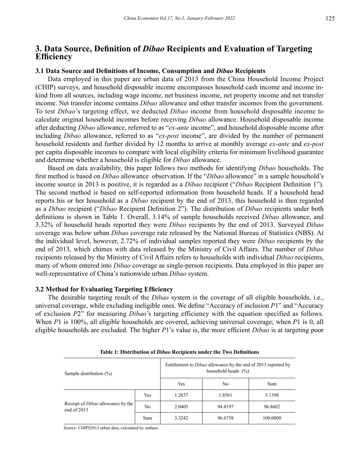# **3. Data Source, Definition of** *Dibao* **Recipients and Evaluation of Targeting Efficiency**

#### **3.1 Data Source and Definitions of Income, Consumption and** *Dibao* **Recipients**

Data employed in this paper are urban data of 2013 from the China Household Income Project (CHIP) surveys, and household disposable income encompasses household cash income and income inkind from all sources, including wage income, net business income, net property income and net transfer income. Net transfer income contains *Dibao* allowance and other transfer incomes from the government. To test *Dibao*'s targeting effect, we deducted *Dibao* income from household disposable income to calculate original household incomes before receiving *Dibao* allowance. Household disposable income after deducting *Dibao* allowance, referred to as "*ex-ante* income", and household disposable income after including *Dibao* allowance, referred to as "*ex-post* income", are divided by the number of permanent household residents and further divided by 12 months to arrive at monthly average *ex-ante* and *ex-post*  per capita disposable incomes to compare with local eligibility criteria for minimum livelihood guarantee and determine whether a household is eligible for *Dibao* allowance.

Based on data availability, this paper follows two methods for identifying *Dibao* households. The first method is based on *Dibao* allowance observation. If the "*Dibao* allowance" in a sample household's income source in 2013 is positive, it is regarded as a *Dibao* recipient ("*Dibao* Recipient Definition 1"). The second method is based on self-reported information from household heads. If a household head reports his or her household as a *Dibao* recipient by the end of 2013, this household is then regarded as a *Dibao* recipient ("*Dibao* Recipient Definition 2"). The distribution of *Dibao* recipients under both definitions is shown in Table 1. Overall, 3.14% of sample households received *Dibao* allowance, and 3.32% of household heads reported they were *Dibao* recipients by the end of 2013. Surveyed *Dibao* coverage was below urban *Dibao* coverage rate released by the National Bureau of Statistics (NBS). At the individual level, however, 2.72% of individual samples reported they were *Dibao* recipients by the end of 2013, which chimes with data released by the Ministry of Civil Affairs. The number of *Dibao* recipients released by the Ministry of Civil Affairs refers to households with individual *Dibao* recipients, many of whom entered into *Dibao* coverage as single-person recipients. Data employed in this paper are well-representative of China's nationwide urban *Dibao* system.

#### **3.2 Method for Evaluating Targeting Efficiency**

The desirable targeting result of the *Dibao* system is the coverage of all eligible households, i.e., universal coverage, while excluding ineligible ones. We define "Accuracy of inclusion *P*1" and "Accuracy of exclusion *P*2" for measuring *Dibao*'s targeting efficiency with the equation specified as follows. When *P*1 is 100%, all eligible households are covered, achieving universal coverage; when *P*1 is 0, all eligible households are excluded. The higher *P*1's value is, the more efficient *Dibao* is at targeting poor

| Sample distribution (%)                                 |     | Entitlement to <i>Dibao</i> allowance by the end of 2013 reported by<br>household heads $(\% )$ |         |          |  |  |
|---------------------------------------------------------|-----|-------------------------------------------------------------------------------------------------|---------|----------|--|--|
|                                                         |     | Yes                                                                                             | No      | Sum      |  |  |
|                                                         | Yes | 1.2837                                                                                          | 1.8561  | 3.1398   |  |  |
| Receipt of <i>Dibao</i> allowance by the<br>end of 2013 | No  | 2.0405                                                                                          | 94.8197 | 96.8602  |  |  |
|                                                         | Sum | 3.3242                                                                                          | 96.6758 | 100,0000 |  |  |

**Table 1: Distribution of** *Dibao* **Recipients under the Two Definitions**

Source: CHIPS2013 urban data, calculated by authors.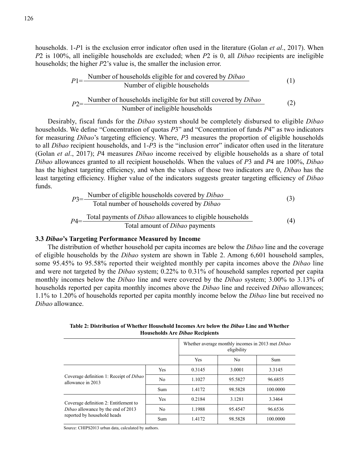households. 1-*P*1 is the exclusion error indicator often used in the literature (Golan *et al*., 2017). When *P*2 is 100%, all ineligible households are excluded; when *P*2 is 0, all *Dibao* recipients are ineligible households; the higher *P*2's value is, the smaller the inclusion error.

$$
P1 = \frac{\text{Number of households eligible for and covered by Dibao} \text{Number of eligible households}}{\text{Number of households in eligible for but still covered by Dibao \text{Number of in eligible households}}
$$
 (2)

Desirably, fiscal funds for the *Dibao* system should be completely disbursed to eligible *Dibao* households. We define "Concentration of quotas *P*3" and "Concentration of funds *P*4" as two indicators for measuring *Dibao*'s targeting efficiency. Where, *P*3 measures the proportion of eligible households to all *Dibao* recipient households, and 1-*P*3 is the "inclusion error" indicator often used in the literature (Golan *et al*., 2017); *P*4 measures *Dibao* income received by eligible households as a share of total *Dibao* allowances granted to all recipient households. When the values of *P*3 and *P*4 are 100%, *Dibao* has the highest targeting efficiency, and when the values of those two indicators are 0, *Dibao* has the least targeting efficiency. Higher value of the indicators suggests greater targeting efficiency of *Dibao* funds.

$$
P3 = \frac{\text{Number of eligible households covered by Dibao \qquad (3)}{\text{Total number of households covered by Dibao \qquad (3)}
$$
\n
$$
P4 = \frac{\text{Total payments of Dibao allowances to eligible households} \qquad (4)
$$
\nTotal amount of *Dibao* payments

#### **3.3** *Dibao***'s Targeting Performance Measured by Income**

The distribution of whether household per capita incomes are below the *Dibao* line and the coverage of eligible households by the *Dibao* system are shown in Table 2. Among 6,601 household samples, some 95.45% to 95.58% reported their weighted monthly per capita incomes above the *Dibao* line and were not targeted by the *Dibao* system; 0.22% to 0.31% of household samples reported per capita monthly incomes below the *Dibao* line and were covered by the *Dibao* system; 3.00% to 3.13% of households reported per capita monthly incomes above the *Dibao* line and received *Dibao* allowances; 1.1% to 1.20% of households reported per capita monthly income below the *Dibao* line but received no *Dibao* allowance.

Whether average monthly incomes in 2013 met *Dibao* eligibility Yes | No | Sum Coverage definition 1: Receipt of *Dibao* allowance in 2013 Yes | 0.3145 | 3.0001 | 3.3145 No 1.1027 95.5827 96.6855 Sum 1.4172 98.5828 100.0000 Coverage definition 2: Entitlement to *Dibao* allowance by the end of 2013 reported by household heads Yes 0.2184 3.1281 3.3464 No 1.1988 95.4547 96.6536 Sum 1.4172 98.5828 100.0000

**Table 2: Distribution of Whether Household Incomes Are below the** *Dibao* **Line and Whether Households Are** *Dibao* **Recipients**

Source: CHIPS2013 urban data, calculated by authors.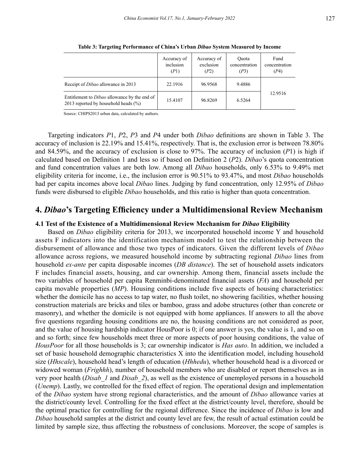|                                                                                                 | Accuracy of<br>inclusion<br>(P1) | Accuracy of<br>exclusion<br>(P2) | <b>Ouota</b><br>concentration<br>(P3) | Fund<br>concentration<br>(P4) |  |
|-------------------------------------------------------------------------------------------------|----------------------------------|----------------------------------|---------------------------------------|-------------------------------|--|
| Receipt of <i>Dibao</i> allowance in 2013                                                       | 22.1916                          | 96.9568                          | 9.4886                                |                               |  |
| Entitlement to <i>Dibao</i> allowance by the end of<br>2013 reported by household heads $(\% )$ | 15.4107                          | 96.8269                          | 6.5264                                | 12.9516                       |  |

**Table 3: Targeting Performance of China's Urban** *Dibao* **System Measured by Income**

Source: CHIPS2013 urban data, calculated by authors.

Targeting indicators *P*1, *P*2, *P*3 and *P*4 under both *Dibao* definitions are shown in Table 3. The accuracy of inclusion is 22.19% and 15.41%, respectively. That is, the exclusion error is between 78.80% and 84.59%, and the accuracy of exclusion is close to 97%. The accuracy of inclusion (*P*1) is high if calculated based on Definition 1 and less so if based on Definition 2 (*P*2). *Dibao*'s quota concentration and fund concentration values are both low. Among all *Dibao* households, only 6.53% to 9.49% met eligibility criteria for income, i.e., the inclusion error is 90.51% to 93.47%, and most *Dibao* households had per capita incomes above local *Dibao* lines. Judging by fund concentration, only 12.95% of *Dibao* funds were disbursed to eligible *Dibao* households, and this ratio is higher than quota concentration.

# **4.** *Dibao***'s Targeting Efficiency under a Multidimensional Review Mechanism**

#### **4.1 Test of the Existence of a Multidimensional Review Mechanism for** *Dibao* **Eligibility**

Based on *Dibao* eligibility criteria for 2013, we incorporated household income Y and household assets F indicators into the identification mechanism model to test the relationship between the disbursement of allowance and those two types of indicators. Given the different levels of *Dibao* allowance across regions, we measured household income by subtracting regional *Dibao* lines from household *ex-ante* per capita disposable incomes (*DB distance*). The set of household assets indicators F includes financial assets, housing, and car ownership. Among them, financial assets include the two variables of household per capita Renminbi-denominated financial assets (*FA*) and household per capita movable properties (*MP*). Housing conditions include five aspects of housing characteristics: whether the domicile has no access to tap water, no flush toilet, no showering facilities, whether housing construction materials are bricks and tiles or bamboo, grass and adobe structures (other than concrete or masonry), and whether the domicile is not equipped with home appliances. If answers to all the above five questions regarding housing conditions are no, the housing conditions are not considered as poor, and the value of housing hardship indicator HousPoor is 0; if one answer is yes, the value is 1, and so on and so forth; since few households meet three or more aspects of poor housing conditions, the value of *HousPoor* for all those households is 3; car ownership indicator is *Has auto*. In addition, we included a set of basic household demographic characteristics X into the identification model, including household size (*Hhscale*), household head's length of education (*Hhhedu*), whether household head is a divorced or widowed woman (*Frighhh*), number of household members who are disabled or report themselves as in very poor health (*Disab\_1* and *Disab\_2*), as well as the existence of unemployed persons in a household (*Unemp*). Lastly, we controlled for the fixed effect of region. The operational design and implementation of the *Dibao* system have strong regional characteristics, and the amount of *Dibao* allowance varies at the district/county level. Controlling for the fixed effect at the district/county level, therefore, should be the optimal practice for controlling for the regional difference. Since the incidence of *Dibao* is low and *Dibao* household samples at the district and county level are few, the result of actual estimation could be limited by sample size, thus affecting the robustness of conclusions. Moreover, the scope of samples is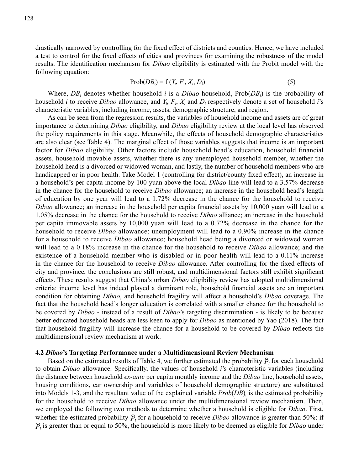drastically narrowed by controlling for the fixed effect of districts and counties. Hence, we have included a test to control for the fixed effects of cities and provinces for examining the robustness of the model results. The identification mechanism for *Dibao* eligibility is estimated with the Probit model with the following equation:

$$
Prob(DB_i) = f(Y_i, F_i, X_i, D_i)
$$
\n<sup>(5)</sup>

Where,  $DB_i$  denotes whether household *i* is a *Dibao* household,  $Prob(DB_i$  is the probability of household *i* to receive *Dibao* allowance, and  $Y_i$ ,  $F_i$ ,  $X_i$  and  $D_i$  respectively denote a set of household *i*'s characteristic variables, including income, assets, demographic structure, and region.

As can be seen from the regression results, the variables of household income and assets are of great importance to determining *Dibao* eligibility, and *Dibao* eligibility review at the local level has observed the policy requirements in this stage. Meanwhile, the effects of household demographic characteristics are also clear (see Table 4). The marginal effect of those variables suggests that income is an important factor for *Dibao* eligibility. Other factors include household head's education, household financial assets, household movable assets, whether there is any unemployed household member, whether the household head is a divorced or widowed woman, and lastly, the number of household members who are handicapped or in poor health. Take Model 1 (controlling for district/county fixed effect), an increase in a household's per capita income by 100 yuan above the local *Dibao* line will lead to a 3.57% decrease in the chance for the household to receive *Dibao* allowance; an increase in the household head's length of education by one year will lead to a 1.72% decrease in the chance for the household to receive *Dibao* allowance; an increase in the household per capita financial assets by 10,000 yuan will lead to a 1.05% decrease in the chance for the household to receive *Dibao* alliance; an increase in the household per capita immovable assets by 10,000 yuan will lead to a 0.72% decrease in the chance for the household to receive *Dibao* allowance; unemployment will lead to a 0.90% increase in the chance for a household to receive *Dibao* allowance; household head being a divorced or widowed woman will lead to a 0.18% increase in the chance for the household to receive *Dibao* allowance; and the existence of a household member who is disabled or in poor health will lead to a 0.11% increase in the chance for the household to receive *Dibao* allowance. After controlling for the fixed effects of city and province, the conclusions are still robust, and multidimensional factors still exhibit significant effects. These results suggest that China's urban *Dibao* eligibility review has adopted multidimensional criteria: income level has indeed played a dominant role, household financial assets are an important condition for obtaining *Dibao*, and household fragility will affect a household's *Dibao* coverage. The fact that the household head's longer education is correlated with a smaller chance for the household to be covered by *Dibao* - instead of a result of *Dibao*'s targeting discrimination - is likely to be because better educated household heads are less keen to apply for *Dibao* as mentioned by Yao (2018). The fact that household fragility will increase the chance for a household to be covered by *Dibao* reflects the multidimensional review mechanism at work.

#### **4.2** *Dibao***'s Targeting Performance under a Multidimensional Review Mechanism**

Based on the estimated results of Table 4, we further estimated the probability  $\hat{P}_i$  for each household to obtain *Dibao* allowance. Specifically, the values of household *i*'s characteristic variables (including the distance between household *ex-ante* per capita monthly income and the *Dibao* line, household assets, housing conditions, car ownership and variables of household demographic structure) are substituted into Models 1-3, and the resultant value of the explained variable *Prob*(*DB*)*<sup>i</sup>* is the estimated probability for the household to receive *Dibao* allowance under the multidimensional review mechanism. Then, we employed the following two methods to determine whether a household is eligible for *Dibao*. First, whether the estimated probability  $\hat{P}_l$  for a household to receive *Dibao* allowance is greater than 50%: if  $\hat{P}_i$  is greater than or equal to 50%, the household is more likely to be deemed as eligible for *Dibao* under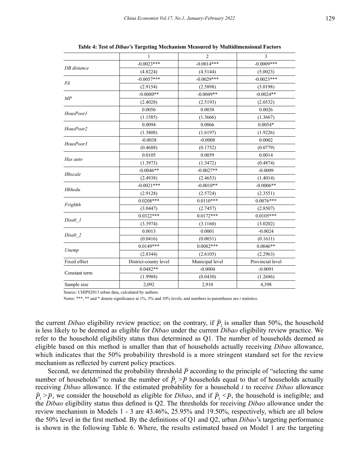|                               | $\mathbf{1}$          | $\overline{2}$                                                                                                                                                                                                                                                                                                                                           | 3                |  |
|-------------------------------|-----------------------|----------------------------------------------------------------------------------------------------------------------------------------------------------------------------------------------------------------------------------------------------------------------------------------------------------------------------------------------------------|------------------|--|
|                               | $-0.0023***$          | $-0.0014***$                                                                                                                                                                                                                                                                                                                                             | $-0.0009***$     |  |
| DB distance                   | (4.8224)              | (4.5144)<br>$-0.0029$ ***<br>(2.5898)<br>$-0.0049**$<br>(2.5193)<br>0.0038<br>(1.3666)<br>0.0066<br>(1.6197)<br>$-0.0008$<br>(0.1752)<br>0.0059<br>(1.3472)<br>$-0.0027**$<br>(2.4653)<br>$-0.0010**$<br>(2.5724)<br>$0.0110***$<br>(2.7457)<br>$0.0172***$<br>(3.1160)<br>0.0001<br>(0.0031)<br>$0.0082***$<br>(2.6105)<br>Municipal level<br>$-0.0004$ | (5.0023)         |  |
|                               | $-0.0057***$          |                                                                                                                                                                                                                                                                                                                                                          | $-0.0023***$     |  |
| <i>FA</i>                     | (2.9154)              |                                                                                                                                                                                                                                                                                                                                                          | (3.0198)         |  |
|                               | $-0.0080**$           |                                                                                                                                                                                                                                                                                                                                                          | $-0.0024**$      |  |
| MP                            | (2.4028)              |                                                                                                                                                                                                                                                                                                                                                          | (2.0532)         |  |
|                               | 0.0056                |                                                                                                                                                                                                                                                                                                                                                          | 0.0026           |  |
| HousPoor1                     | (1.1585)              |                                                                                                                                                                                                                                                                                                                                                          | (1.3667)         |  |
| HousPoor2                     | 0.0094                |                                                                                                                                                                                                                                                                                                                                                          | $0.0054*$        |  |
|                               | (1.3808)              |                                                                                                                                                                                                                                                                                                                                                          | (1.9226)         |  |
| HousPoor3                     | $-0.0038$             |                                                                                                                                                                                                                                                                                                                                                          | 0.0002           |  |
|                               | (0.4688)              |                                                                                                                                                                                                                                                                                                                                                          | (0.0779)         |  |
|                               | 0.0105                |                                                                                                                                                                                                                                                                                                                                                          | 0.0014           |  |
|                               | (1.3973)              |                                                                                                                                                                                                                                                                                                                                                          | (0.4874)         |  |
| Hhscale                       | $-0.0046**$           |                                                                                                                                                                                                                                                                                                                                                          | $-0.0009$        |  |
|                               | (2.4938)              |                                                                                                                                                                                                                                                                                                                                                          | (1.4014)         |  |
| <b>Hhhedu</b>                 | $-0.0021***$          |                                                                                                                                                                                                                                                                                                                                                          | $-0.0006**$      |  |
|                               | (2.9128)              |                                                                                                                                                                                                                                                                                                                                                          | (2.3551)         |  |
|                               | $0.0208***$           |                                                                                                                                                                                                                                                                                                                                                          | $0.0076***$      |  |
| Has auto                      | (3.0447)              |                                                                                                                                                                                                                                                                                                                                                          | (2.8507)         |  |
| Frighhh<br>Disab 1<br>Disab 2 | $0.0322***$           |                                                                                                                                                                                                                                                                                                                                                          | $0.0105***$      |  |
|                               | (3.3974)              |                                                                                                                                                                                                                                                                                                                                                          | (3.0202)         |  |
|                               | 0.0013                |                                                                                                                                                                                                                                                                                                                                                          | $-0.0024$        |  |
|                               | (0.0416)              |                                                                                                                                                                                                                                                                                                                                                          | (0.1611)         |  |
|                               | $0.0149***$           |                                                                                                                                                                                                                                                                                                                                                          | $0.0046**$       |  |
| Unemp                         | (2.8344)              |                                                                                                                                                                                                                                                                                                                                                          | (2.2963)         |  |
| Fixed effect                  | District-county level |                                                                                                                                                                                                                                                                                                                                                          | Provincial level |  |
|                               | $0.0482**$            |                                                                                                                                                                                                                                                                                                                                                          | $-0.0091$        |  |
| Constant term                 | (1.9988)              | (0.0430)                                                                                                                                                                                                                                                                                                                                                 | (1.2686)         |  |
| Sample size                   | 2,092                 | 2,910                                                                                                                                                                                                                                                                                                                                                    | 4,398            |  |
|                               |                       |                                                                                                                                                                                                                                                                                                                                                          |                  |  |

**Table 4: Test of** *Dibao***'s Targeting Mechanism Measured by Multidimensional Factors**

Source: CHIPS2013 urban data, calculated by authors.

Notes: \*\*\*, \*\* and \* denote significance at 1%, 5% and 10% levels, and numbers in parentheses are *t* statistics.

the current *Dibao* eligibility review practice; on the contrary, if  $\hat{P}_i$  is smaller than 50%, the household is less likely to be deemed as eligible for *Dibao* under the current *Dibao* eligibility review practice. We refer to the household eligibility status thus determined as Q1. The number of households deemed as eligible based on this method is smaller than that of households actually receiving *Dibao* allowance, which indicates that the 50% probability threshold is a more stringent standard set for the review mechanism as reflected by current policy practices.

Second, we determined the probability threshold  $\bar{P}$  according to the principle of "selecting the same number of households" to make the number of  $\hat{P}_i > \overline{P}$  households equal to that of households actually receiving *Dibao* allowance. If the estimated probability for a household *i* to receive *Dibao* allowance  $\hat{P}_i > \overline{P}$ , we consider the household as eligible for *Dibao*, and if  $\hat{P}_i < \overline{P}$ , the household is ineligible; and the *Dibao* eligibility status thus defined is Q2. The thresholds for receiving *Dibao* allowance under the review mechanism in Models 1 - 3 are 43.46%, 25.95% and 19.50%, respectively, which are all below the 50% level in the first method. By the definitions of Q1 and Q2, urban *Dibao*'s targeting performance is shown in the following Table 6. Where, the results estimated based on Model 1 are the targeting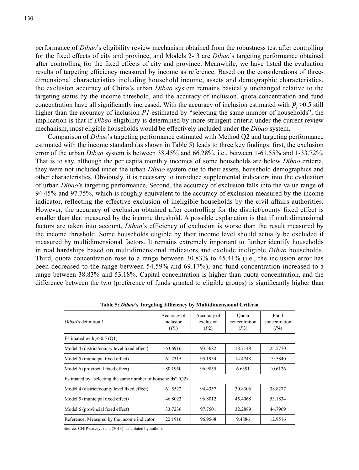performance of *Dibao*'s eligibility review mechanism obtained from the robustness test after controlling for the fixed effects of city and province, and Models 2- 3 are *Dibao*'s targeting performance obtained after controlling for the fixed effects of city and province. Meanwhile, we have listed the evaluation results of targeting efficiency measured by income as reference. Based on the considerations of threedimensional characteristics including household income, assets and demographic characteristics, the exclusion accuracy of China's urban *Dibao* system remains basically unchanged relative to the targeting status by the income threshold, and the accuracy of inclusion, quota concentration and fund concentration have all significantly increased. With the accuracy of inclusion estimated with  $\hat{P}_1$  >0.5 still higher than the accuracy of inclusion *P1* estimated by "selecting the same number of households", the implication is that if *Dibao* eligibility is determined by more stringent criteria under the current review mechanism, most eligible households would be effectively included under the *Dibao* system.

Comparison of *Dibao*'s targeting performance estimated with Method Q2 and targeting performance estimated with the income standard (as shown in Table 5) leads to three key findings: first, the exclusion error of the urban *Dibao* system is between 38.45% and 66.28%, i.e., between 1-61.55% and 1-33.72%. That is to say, although the per capita monthly incomes of some households are below *Dibao* criteria, they were not included under the urban *Dibao* system due to their assets, household demographics and other characteristics. Obviously, it is necessary to introduce supplemental indicators into the evaluation of urban *Dibao*'s targeting performance. Second, the accuracy of exclusion falls into the value range of 94.45% and 97.75%, which is roughly equivalent to the accuracy of exclusion measured by the income indicator, reflecting the effective exclusion of ineligible households by the civil affairs authorities. However, the accuracy of exclusion obtained after controlling for the district/county fixed effect is smaller than that measured by the income threshold. A possible explanation is that if multidimensional factors are taken into account, *Dibao*'s efficiency of exclusion is worse than the result measured by the income threshold. Some households eligible by their income level should actually be excluded if measured by multidimensional factors. It remains extremely important to further identify households in real hardships based on multidimensional indicators and exclude ineligible *Dibao* households. Third, quota concentration rose to a range between 30.83% to 45.41% (i.e., the inclusion error has been decreased to the range between 54.59% and 69.17%), and fund concentration increased to a range between 38.83% and 53.18%. Capital concentration is higher than quota concentration, and the difference between the two (preference of funds granted to eligible groups) is significantly higher than

| Accuracy of<br>inclusion<br>(P1)                            | Accuracy of<br>exclusion<br>(P2) | Ouota<br>concentration<br>(P3) | Fund<br>concentration<br>(P4) |  |  |  |  |
|-------------------------------------------------------------|----------------------------------|--------------------------------|-------------------------------|--|--|--|--|
| Estimated with $p > 0.5$ (Q1)                               |                                  |                                |                               |  |  |  |  |
| 63.6916                                                     | 93.5682                          | 18.7148                        | 25.5770                       |  |  |  |  |
| 61.2315                                                     | 95.1954                          | 14.4748                        | 19.5840                       |  |  |  |  |
| 80.1950                                                     | 96.9855                          | 6.6391                         | 10.6126                       |  |  |  |  |
| Estimated by "selecting the same number of households" (Q2) |                                  |                                |                               |  |  |  |  |
| 61.5522                                                     | 94.4357                          | 30.8306                        | 38.8277                       |  |  |  |  |
| 46.8023                                                     | 96.8012                          | 45.4068                        | 53.1834                       |  |  |  |  |
| 33.7236                                                     | 97.7501                          | 32.2889                        | 44.7969                       |  |  |  |  |
| 22.1916                                                     | 96.9568                          | 9.4886                         | 12.9516                       |  |  |  |  |
|                                                             |                                  |                                |                               |  |  |  |  |

**Table 5:** *Dibao***'s Targeting Efficiency by Multidimensional Criteria**

Source: CHIP surveys data (2013), calculated by authors.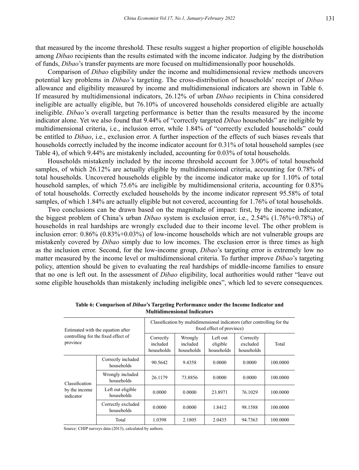that measured by the income threshold. These results suggest a higher proportion of eligible households among *Dibao* recipients than the results estimated with the income indicator. Judging by the distribution of funds, *Dibao*'s transfer payments are more focused on multidimensionally poor households.

Comparison of *Dibao* eligibility under the income and multidimensional review methods uncovers potential key problems in *Dibao*'s targeting. The cross-distribution of households' receipt of *Dibao* allowance and eligibility measured by income and multidimensional indicators are shown in Table 6. If measured by multidimensional indicators, 26.12% of urban *Dibao* recipients in China considered ineligible are actually eligible, but 76.10% of uncovered households considered eligible are actually ineligible. *Dibao*'s overall targeting performance is better than the results measured by the income indicator alone. Yet we also found that 9.44% of "correctly targeted *Dibao* households" are ineligible by multidimensional criteria, i.e., inclusion error, while 1.84% of "correctly excluded households" could be entitled to *Dibao*, i.e., exclusion error. A further inspection of the effects of such biases reveals that households correctly included by the income indicator account for 0.31% of total household samples (see Table 4), of which 9.44% are mistakenly included, accounting for 0.03% of total households.

Households mistakenly included by the income threshold account for 3.00% of total household samples, of which 26.12% are actually eligible by multidimensional criteria, accounting for 0.78% of total households. Uncovered households eligible by the income indicator make up for 1.10% of total household samples, of which 75.6% are ineligible by multidimensional criteria, accounting for 0.83% of total households. Correctly excluded households by the income indicator represent 95.58% of total samples, of which 1.84% are actually eligible but not covered, accounting for 1.76% of total households.

Two conclusions can be drawn based on the magnitude of impact: first, by the income indicator, the biggest problem of China's urban *Dibao* system is exclusion error, i.e., 2.54% (1.76%+0.78%) of households in real hardships are wrongly excluded due to their income level. The other problem is inclusion error: 0.86% (0.83%+0.03%) of low-income households which are not vulnerable groups are mistakenly covered by *Dibao* simply due to low incomes. The exclusion error is three times as high as the inclusion error. Second, for the low-income group, *Dibao*'s targeting error is extremely low no matter measured by the income level or multidimensional criteria. To further improve *Dibao*'s targeting policy, attention should be given to evaluating the real hardships of middle-income families to ensure that no one is left out. In the assessment of *Dibao* eligibility, local authorities would rather "leave out some eligible households than mistakenly including ineligible ones", which led to severe consequences.

| Estimated with the equation after<br>controlling for the fixed effect of<br>province |                                  | Classification by multidimensional indicators (after controlling for the<br>fixed effect of province) |                                   |                                    |                                     |          |
|--------------------------------------------------------------------------------------|----------------------------------|-------------------------------------------------------------------------------------------------------|-----------------------------------|------------------------------------|-------------------------------------|----------|
|                                                                                      |                                  | Correctly<br>included<br>households                                                                   | Wrongly<br>included<br>households | Left out<br>eligible<br>households | Correctly<br>excluded<br>households | Total    |
| Classification<br>by the income<br>indicator                                         | Correctly included<br>households | 90.5642                                                                                               | 9.4358                            | 0.0000                             | 0.0000                              | 100.0000 |
|                                                                                      | Wrongly included<br>households   | 26.1179                                                                                               | 73.8856                           | 0.0000                             | 0.0000                              | 100,0000 |
|                                                                                      | Left out eligible<br>households  | 0.0000                                                                                                | 0.0000                            | 23.8971                            | 76.1029                             | 100.0000 |
|                                                                                      | Correctly excluded<br>households | 0.0000                                                                                                | 0.0000                            | 1.8412                             | 98.1588                             | 100.0000 |
|                                                                                      | Total                            | 1.0398                                                                                                | 2.1805                            | 2.0435                             | 94.7363                             | 100,0000 |

**Table 6: Comparison of** *Dibao***'s Targeting Performance under the Income Indicator and Multidimensional Indicators**

Source: CHIP surveys data (2013), calculated by authors.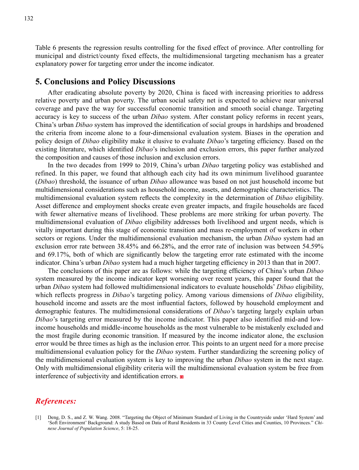Table 6 presents the regression results controlling for the fixed effect of province. After controlling for municipal and district/county fixed effects, the multidimensional targeting mechanism has a greater explanatory power for targeting error under the income indicator.

### **5. Conclusions and Policy Discussions**

After eradicating absolute poverty by 2020, China is faced with increasing priorities to address relative poverty and urban poverty. The urban social safety net is expected to achieve near universal coverage and pave the way for successful economic transition and smooth social change. Targeting accuracy is key to success of the urban *Dibao* system. After constant policy reforms in recent years, China's urban *Dibao* system has improved the identification of social groups in hardships and broadened the criteria from income alone to a four-dimensional evaluation system. Biases in the operation and policy design of *Dibao* eligibility make it elusive to evaluate *Dibao*'s targeting efficiency. Based on the existing literature, which identified *Dibao*'s inclusion and exclusion errors, this paper further analyzed the composition and causes of those inclusion and exclusion errors.

In the two decades from 1999 to 2019, China's urban *Dibao* targeting policy was established and refined. In this paper, we found that although each city had its own minimum livelihood guarantee (*Dibao*) threshold, the issuance of urban *Dibao* allowance was based on not just household income but multidimensional considerations such as household income, assets, and demographic characteristics. The multidimensional evaluation system reflects the complexity in the determination of *Dibao* eligibility. Asset difference and employment shocks create even greater impacts, and fragile households are faced with fewer alternative means of livelihood. These problems are more striking for urban poverty. The multidimensional evaluation of *Dibao* eligibility addresses both livelihood and urgent needs, which is vitally important during this stage of economic transition and mass re-employment of workers in other sectors or regions. Under the multidimensional evaluation mechanism, the urban *Dibao* system had an exclusion error rate between 38.45% and 66.28%, and the error rate of inclusion was between 54.59% and 69.17%, both of which are significantly below the targeting error rate estimated with the income indicator. China's urban *Dibao* system had a much higher targeting efficiency in 2013 than that in 2007.

The conclusions of this paper are as follows: while the targeting efficiency of China's urban *Dibao* system measured by the income indicator kept worsening over recent years, this paper found that the urban *Dibao* system had followed multidimensional indicators to evaluate households' *Dibao* eligibility, which reflects progress in *Dibao*'s targeting policy. Among various dimensions of *Dibao* eligibility, household income and assets are the most influential factors, followed by household employment and demographic features. The multidimensional considerations of *Dibao*'s targeting largely explain urban *Dibao*'s targeting error measured by the income indicator. This paper also identified mid-and lowincome households and middle-income households as the most vulnerable to be mistakenly excluded and the most fragile during economic transition. If measured by the income indicator alone, the exclusion error would be three times as high as the inclusion error. This points to an urgent need for a more precise multidimensional evaluation policy for the *Dibao* system. Further standardizing the screening policy of the multidimensional evaluation system is key to improving the urban *Dibao* system in the next stage. Only with multidimensional eligibility criteria will the multidimensional evaluation system be free from interference of subjectivity and identification errors.

# *References:*

<sup>[1]</sup> Deng, D. S., and Z. W. Wang. 2008. "Targeting the Object of Minimum Standard of Living in the Countryside under 'Hard System' and 'Soft Environment' Background: A study Based on Data of Rural Residents in 33 County Level Cities and Counties, 10 Provinces." *Chinese Journal of Population Science*, 5: 18-25.